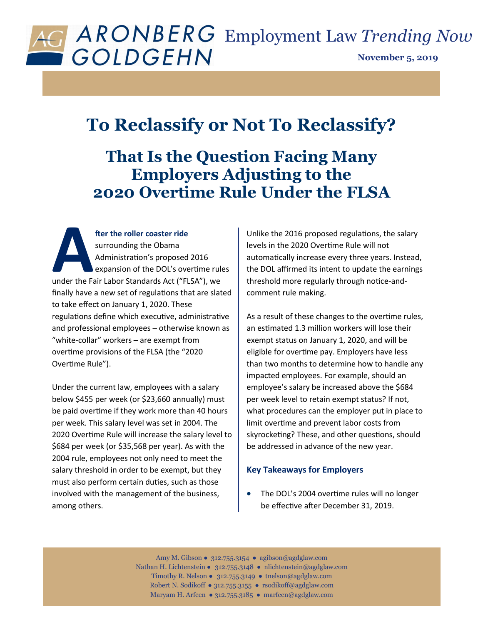

## **To Reclassify or Not To Reclassify?**

## **That Is the Question Facing Many Employers Adjusting to the 2020 Overtime Rule Under the FLSA**

**A**<br> **Administration's proposed 2016**<br> **Administration's proposed 2016**<br> **Administration's proposed 2016**<br> **Administration's proposed 2016**<br> **Administration's proposed 2016**<br> **Administration's proposed 2016**<br> **Administrati fter the roller coaster ride**  surrounding the Obama Administration's proposed 2016 expansion of the DOL's overtime rules finally have a new set of regulations that are slated to take effect on January 1, 2020. These regulations define which executive, administrative and professional employees – otherwise known as "white-collar" workers – are exempt from overtime provisions of the FLSA (the "2020 Overtime Rule").

Under the current law, employees with a salary below \$455 per week (or \$23,660 annually) must be paid overtime if they work more than 40 hours per week. This salary level was set in 2004. The 2020 Overtime Rule will increase the salary level to \$684 per week (or \$35,568 per year). As with the 2004 rule, employees not only need to meet the salary threshold in order to be exempt, but they must also perform certain duties, such as those involved with the management of the business, among others.

Unlike the 2016 proposed regulations, the salary levels in the 2020 Overtime Rule will not automatically increase every three years. Instead, the DOL affirmed its intent to update the earnings threshold more regularly through notice-andcomment rule making.

As a result of these changes to the overtime rules, an estimated 1.3 million workers will lose their exempt status on January 1, 2020, and will be eligible for overtime pay. Employers have less than two months to determine how to handle any impacted employees. For example, should an employee's salary be increased above the \$684 per week level to retain exempt status? If not, what procedures can the employer put in place to limit overtime and prevent labor costs from skyrocketing? These, and other questions, should be addressed in advance of the new year.

## **Key Takeaways for Employers**

 The DOL's 2004 overtime rules will no longer be effective after December 31, 2019.

Amy M. Gibson ● 312.755.3154 ● agibson@agdglaw.com Nathan H. Lichtenstein ● 312.755.3148 ● nlichtenstein*@*agdglaw.com Timothy R. Nelson ● 312.755.3149 ● tnelson*@*agdglaw.com Robert N. Sodikoff ● 312.755.3155 ● rsodikoff@agdglaw.com Maryam H. Arfeen ● 312.755.3185 ● marfeen@agdglaw.com